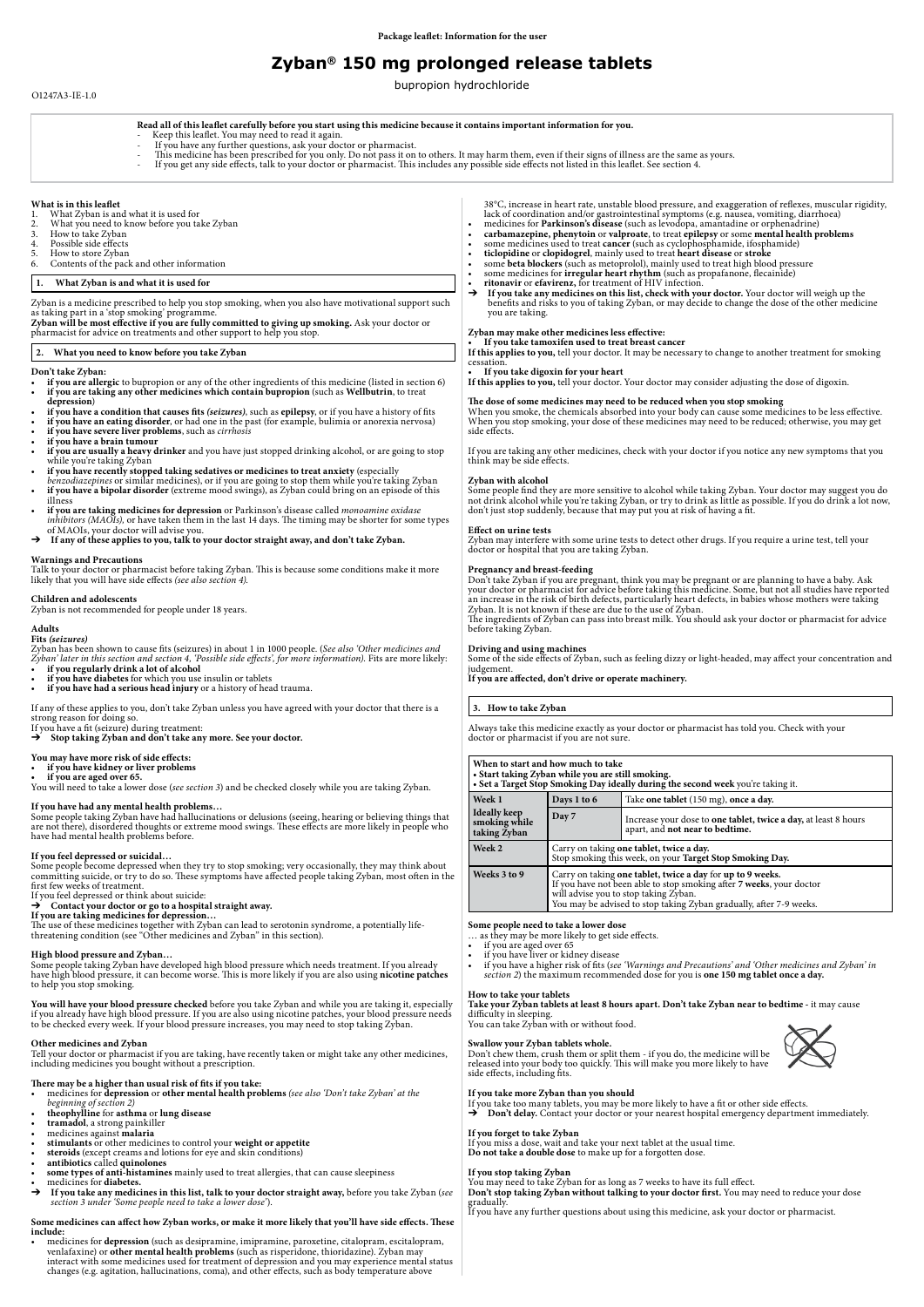# **1. What Zyban is and what it is used for**

- **if you are allergic** to bupropion or any of the other ingredients of this medicine (listed in section 6) • **if you are taking any other medicines which contain bupropion** (such as **Wellbutrin**, to treat **depression**)
- **if you have a condition that causes fits** *(seizures)*, such as **epilepsy**, or if you have a history of fits
- **if you have an eating disorder**, or had one in the past (for example, bulimia or anorexia nervosa)
- **if you have severe liver problems**, such as *cirrhosis*
- 
- **if you have a brain tumour** • **if you are usually a heavy drinker** and you have just stopped drinking alcohol, or are going to stop while you're taking Zyban
- **if you have recently stopped taking sedatives or medicines to treat anxiety** (especially *benzodiazepines* or similar medicines), or if you are going to stop them while you're taking Zyban
- if you have a bipolar disorder (extreme mood swings), as Zyban could bring on an episode of this illness
- **if you are taking medicines for depression** or Parkinson's disease called *monoamine oxidase inhibitors (MAOIs),* or have taken them in the last 14 days. The timing may be shorter for some types of MAOIs, your doctor will advise you.
- → If any of these applies to you, talk to your doctor straight away, and don't take Zyban.

Zyban is a medicine prescribed to help you stop smoking, when you also have motivational support such as taking part in a 'stop smoking' programme.

**Zyban will be most effective if you are fully committed to giving up smoking.** Ask your doctor or pharmacist for advice on treatments and other support to help you stop.

## **2. What you need to know before you take Zyban**

#### **Don't take Zyban:**

# **Warnings and Precautions**

Talk to your doctor or pharmacist before taking Zyban. This is because some conditions make it more likely that you will have side effects *(see also section 4).* 

## **Children and adolescents**

Zyban is not recommended for people under 18 years.

#### **Adults**

**Fits** *(seizures)*

Zyban has been shown to cause fits (seizures) in about 1 in 1000 people. (*See also 'Other medicines and Zyban' later in this section and section 4, 'Possible side effects', for more information).* Fits are more likely: • **if you regularly drink a lot of alcohol**

- if you have diabetes for which you use insulin or tablets
- if you have had a serious head injury or a history of head trauma.

If any of these applies to you, don't take Zyban unless you have agreed with your doctor that there is a strong reason for doing so.

If you have a fit (seizure) during treatment:

➔ **Stop taking Zyban and don't take any more. See your doctor.**

#### **You may have more risk of side effects:**

• **if you have kidney or liver problems**

#### **• if you are aged over 65.**

You will need to take a lower dose (*see section 3*) and be checked closely while you are taking Zyban.

## **If you have had any mental health problems…**

Some people taking Zyban have had hallucinations or delusions (seeing, hearing or believing things that are not there), disordered thoughts or extreme mood swings. These effects are more likely in people who have had mental health problems before.

#### **If you feel depressed or suicidal…**

Some people become depressed when they try to stop smoking; very occasionally, they may think about committing suicide, or try to do so. These symptoms have affected people taking Zyban, most often in the first few weeks of treatment.

If you feel depressed or think about suicide:

# ➔ **Contact your doctor or go to a hospital straight away.**

**If you are taking medicines for depression…**

When you smoke, the chemicals absorbed into your body can cause some medicines to be less effective. When you stop smoking, your dose of these medicines may need to be reduced; otherwise, you may get side effects.

The use of these medicines together with Zyban can lead to serotonin syndrome, a potentially lifethreatening condition (see "Other medicines and Zyban" in this section).

# **High blood pressure and Zyban…**

Don't take Zyban if you are pregnant, think you may be pregnant or are planning to have a baby. Ask your doctor or pharmacist for advice before taking this medicine. Some, but not all studies have reported an increase in the risk of birth defects, particularly heart defects, in babies whose mothers were taking Zyban. It is not known if these are due to the use of Zyban.

Some people taking Zyban have developed high blood pressure which needs treatment. If you already have high blood pressure, it can become worse. This is more likely if you are also using **nicotine patches**  to help you stop smoking.

**You will have your blood pressure checked** before you take Zyban and while you are taking it, especially if you already have high blood pressure. If you are also using nicotine patches, your blood pressure needs to be checked every week. If your blood pressure increases, you may need to stop taking Zyban.

# **Other medicines and Zyban**

Tell your doctor or pharmacist if you are taking, have recently taken or might take any other medicines, including medicines you bought without a prescription.

# **There may be a higher than usual risk of fits if you take:**

**Take your Zyban tablets at least 8 hours apart. Don't take Zyban near to bedtime -** it may cause difficulty in sleeping.

You can take Zyban with or without food.

- medicines for **depression** or **other mental health problems** *(see also 'Don't take Zyban' at the beginning of section 2)*
- 
- 
- 
- 
- 
- 
- tramadol, a strong painkiller<br>
medicines against malaria<br>
stimulants or other medicines to control your weight or appetite<br>
steroids (except creams and lotions for eye and skin conditions)<br>
antibiotics called qui
- 
- ➔ **If you take any medicines in this list, talk to your doctor straight away,** before you take Zyban (*see section 3 under 'Some people need to take a lower dose'*).

# **Some medicines can affect how Zyban works, or make it more likely that you'll have side effects. These include:**

• medicines for **depression** (such as desipramine, imipramine, paroxetine, citalopram, escitalopram, venlafaxine) or **other mental health problems** (such as risperidone, thioridazine). Zyban may interact with some medicines used for treatment of depression and you may experience mental status changes (e.g. agitation, hallucinations, coma), and other effects, such as body temperature above

38°C, increase in heart rate, unstable blood pressure, and exaggeration of reflexes, muscular rigidity, lack of coordination and/or gastrointestinal symptoms (e.g. nausea, vomiting, diarrhoea) • medicines for **Parkinson's disease** (such as levodopa, amantadine or orphenadrine)

- **carbamazepine, phenytoin** or **valproate**, to treat **epilepsy** or some **mental health problems**
- some medicines used to treat **cancer** (such as cyclophosphamide, ifosphamide)
- **ticlopidine** or **clopidogrel**, mainly used to treat **heart disease** or **stroke**
- some **beta blockers** (such as metoprolol), mainly used to treat high blood pressure
- some medicines for **irregular heart rhythm** (such as propafanone, flecainide)
- **ritonavir** or **efavirenz,** for treatment of HIV infection.

➔ **If you take any medicines on this list, check with your doctor.** Your doctor will weigh up the benefits and risks to you of taking Zyban, or may decide to change the dose of the other medicine you are taking.

## **Zyban may make other medicines less effective:**

**• If you take tamoxifen used to treat breast cancer**

**If this applies to you,** tell your doctor. It may be necessary to change to another treatment for smoking cessation.

**• If you take digoxin for your heart If this applies to you,** tell your doctor. Your doctor may consider adjusting the dose of digoxin.

#### **The dose of some medicines may need to be reduced when you stop smoking**

If you are taking any other medicines, check with your doctor if you notice any new symptoms that you think may be side effects.

#### **Zyban with alcohol**

Some people find they are more sensitive to alcohol while taking Zyban. Your doctor may suggest you do not drink alcohol while you're taking Zyban, or try to drink as little as possible. If you do drink a lot now, don't just stop suddenly, because that may put you at risk of having a fit.

#### **Effect on urine tests**

Zyban may interfere with some urine tests to detect other drugs. If you require a urine test, tell your doctor or hospital that you are taking Zyban.

#### **Pregnancy and breast-feeding**

The ingredients of Zyban can pass into breast milk. You should ask your doctor or pharmacist for advice before taking Zyban.

#### **Driving and using machines**

Some of the side effects of Zyban, such as feeling dizzy or light-headed, may affect your concentration and judgement.

**If you are affected, don't drive or operate machinery.**

#### **3. How to take Zyban**

Always take this medicine exactly as your doctor or pharmacist has told you. Check with your doctor or pharmacist if you are not sure.

| When to start and how much to take<br>• Start taking Zyban while you are still smoking.<br>• Set a Target Stop Smoking Day ideally during the second week you're taking it. |                                                                                                                                                                                                                                                    |                                                                                                           |
|-----------------------------------------------------------------------------------------------------------------------------------------------------------------------------|----------------------------------------------------------------------------------------------------------------------------------------------------------------------------------------------------------------------------------------------------|-----------------------------------------------------------------------------------------------------------|
| Week 1                                                                                                                                                                      | Days 1 to 6                                                                                                                                                                                                                                        | Take one tablet (150 mg), once a day.                                                                     |
| <b>Ideally keep</b><br>smoking while<br>taking Zyban                                                                                                                        | Day 7                                                                                                                                                                                                                                              | Increase your dose to <b>one tablet, twice a day,</b> at least 8 hours<br>apart, and not near to bedtime. |
| Week 2                                                                                                                                                                      | Carry on taking one tablet, twice a day.<br>Stop smoking this week, on your Target Stop Smoking Day.                                                                                                                                               |                                                                                                           |
| Weeks 3 to 9                                                                                                                                                                | Carry on taking one tablet, twice a day for up to 9 weeks.<br>If you have not been able to stop smoking after 7 weeks, your doctor<br>will advise you to stop taking Zyban.<br>You may be advised to stop taking Zyban gradually, after 7-9 weeks. |                                                                                                           |

#### **Some people need to take a lower dose**

… as they may be more likely to get side effects.

- if you are aged over 65
- if you have liver or kidney disease
- if you have a higher risk of fits (*see 'Warnings and Precautions' and 'Other medicines and Zyban' in section 2*) the maximum recommended dose for you is **one 150 mg tablet once a day.**

# **How to take your tablets**

# **Swallow your Zyban tablets whole.**

Don't chew them, crush them or split them - if you do, the medicine will be released into your body too quickly. This will make you more likely to have side effects, including fits.

# **If you take more Zyban than you should**

If you take too many tablets, you may be more likely to have a fit or other side effects.

→ **Don't delay.** Contact your doctor or your nearest hospital emergency department immediately.

# **If you forget to take Zyban**

If you miss a dose, wait and take your next tablet at the usual time. **Do not take a double dose** to make up for a forgotten dose.

# **If you stop taking Zyban**

You may need to take Zyban for as long as 7 weeks to have its full effect. **Don't stop taking Zyban without talking to your doctor first.** You may need to reduce your dose gradually.

If you have any further questions about using this medicine, ask your doctor or pharmacist.



**Read all of this leaflet carefully before you start using this medicine because it contains important information for you.**

- 
- 
- If you have any further questions, ask your doctor or pharmacist.<br>This medicine has been prescribed for you only. Do not pass it on to others. It may harm them, even if their signs of illness are the same as yours.<br>If you

# **What is in this leaflet**<br>1. What Zyban is and

- 1. What Zyban is and what it is used for<br>2. What you need to know before you ta
- 2. What you need to know before you take Zyban<br>3. How to take Zyban
- 3. How to take Zyban<br>4. Possible side effects
- 4. Possible side effects<br>5. How to store Zyban
- 5. How to store Zyban<br>6. Contents of the pack
- Contents of the pack and other information

# **Zyban® 150 mg prolonged release tablets**

bupropion hydrochloride

# O1247A3-IE-1.0